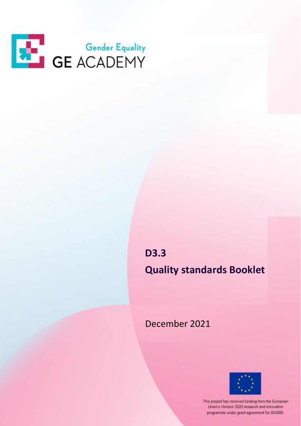

**D3.3 Quality standards Booklet**

December 2021



This project has received funding from the European Union's Horizon 2020 research and innovation programme under grant agreement No 824585.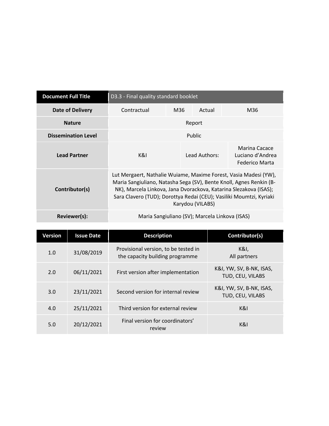| <b>Document Full Title</b> | D3.3 - Final quality standard booklet                                                                                                                                                                                                                                                                   |     |               |                                                     |  |
|----------------------------|---------------------------------------------------------------------------------------------------------------------------------------------------------------------------------------------------------------------------------------------------------------------------------------------------------|-----|---------------|-----------------------------------------------------|--|
| <b>Date of Delivery</b>    | Contractual                                                                                                                                                                                                                                                                                             | M36 | Actual        | M36                                                 |  |
| <b>Nature</b>              | Report                                                                                                                                                                                                                                                                                                  |     |               |                                                     |  |
| <b>Dissemination Level</b> | Public                                                                                                                                                                                                                                                                                                  |     |               |                                                     |  |
| <b>Lead Partner</b>        | K&I.                                                                                                                                                                                                                                                                                                    |     | Lead Authors: | Marina Cacace<br>Luciano d'Andrea<br>Federico Marta |  |
| Contributor(s)             | Lut Mergaert, Nathalie Wuiame, Maxime Forest, Vasia Madesi (YW),<br>Maria Sangiuliano, Natasha Sega (SV), Bente Knoll, Agnes Renkin (B-<br>NK), Marcela Linkova, Jana Dvorackova, Katarina Slezakova (ISAS);<br>Sara Clavero (TUD); Dorottya Redai (CEU); Vasiliki Moumtzi, Kyriaki<br>Karydou (VILABS) |     |               |                                                     |  |
| Reviewer(s):               | Maria Sangiuliano (SV); Marcela Linkova (ISAS)                                                                                                                                                                                                                                                          |     |               |                                                     |  |

| Version | <b>Issue Date</b> | <b>Description</b>                                                      | Contributor(s)                               |
|---------|-------------------|-------------------------------------------------------------------------|----------------------------------------------|
| 1.0     | 31/08/2019        | Provisional version, to be tested in<br>the capacity building programme | K&I,<br>All partners                         |
| 2.0     | 06/11/2021        | First version after implementation                                      | K&I, YW, SV, B-NK, ISAS,<br>TUD, CEU, VILABS |
| 3.0     | 23/11/2021        | Second version for internal review                                      | K&I, YW, SV, B-NK, ISAS,<br>TUD, CEU, VILABS |
| 4.0     | 25/11/2021        | Third version for external review                                       | K&I                                          |
| 5.0     | 20/12/2021        | Final version for coordinators'<br>review                               | K&I                                          |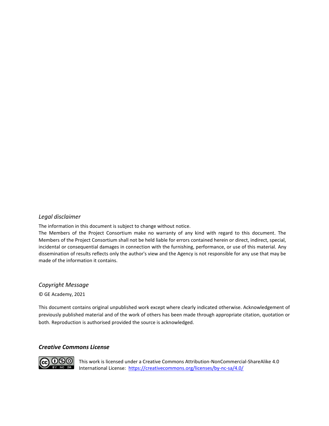#### *Legal disclaimer*

The information in this document is subject to change without notice.

The Members of the Project Consortium make no warranty of any kind with regard to this document. The Members of the Project Consortium shall not be held liable for errors contained herein or direct, indirect, special, incidental or consequential damages in connection with the furnishing, performance, or use of this material. Any dissemination of results reflects only the author's view and the Agency is not responsible for any use that may be made of the information it contains.

#### *Copyright Message*

© GE Academy, 2021

This document contains original unpublished work except where clearly indicated otherwise. Acknowledgement of previously published material and of the work of others has been made through appropriate citation, quotation or both. Reproduction is authorised provided the source is acknowledged.

#### *Creative Commons License*



This work is licensed under a Creative Commons Attribution-NonCommercial-ShareAlike 4.0 International License: https://creativecommons.org/licenses/by-nc-sa/4.0/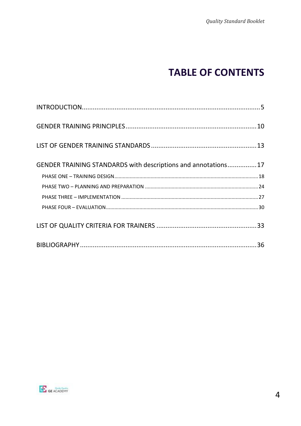# **TABLE OF CONTENTS**

| GENDER TRAINING STANDARDS with descriptions and annotations17 |  |
|---------------------------------------------------------------|--|
|                                                               |  |
|                                                               |  |
|                                                               |  |
|                                                               |  |
|                                                               |  |
|                                                               |  |

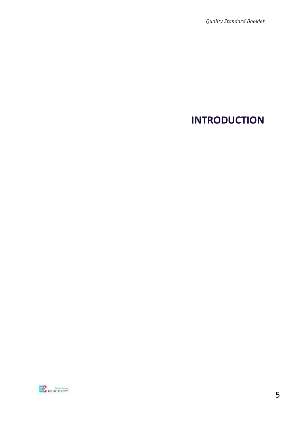# <span id="page-4-0"></span>**INTRODUCTION**

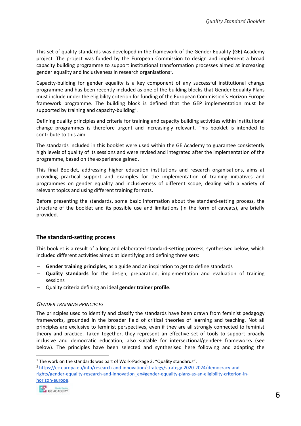This set of quality standards was developed in the framework of the Gender Equality (GE) Academy project. The project was funded by the European Commission to design and implement a broad capacity building programme to support institutional transformation processes aimed at increasing gender equality and inclusiveness in research organisations<sup>1</sup>.

Capacity-building for gender equality is a key component of any successful institutional change programme and has been recently included as one of the building blocks that Gender Equality Plans must include under the eligibility criterion for funding of the European Commission's Horizon Europe framework programme. The building block is defined that the GEP implementation must be supported by training and capacity-building<sup>2</sup>.

Defining quality principles and criteria for training and capacity building activities within institutional change programmes is therefore urgent and increasingly relevant. This booklet is intended to contribute to this aim.

The standards included in this booklet were used within the GE Academy to guarantee consistently high levels of quality of its sessions and were revised and integrated after the implementation of the programme, based on the experience gained.

This final Booklet, addressing higher education institutions and research organisations, aims at providing practical support and examples for the implementation of training initiatives and programmes on gender equality and inclusiveness of different scope, dealing with a variety of relevant topics and using different training formats.

Before presenting the standards, some basic information about the standard-setting process, the structure of the booklet and its possible use and limitations (in the form of caveats), are briefly provided.

#### **The standard-setting process**

This booklet is a result of a long and elaborated standard-setting process, synthesised below, which included different activities aimed at identifying and defining three sets:

- − **Gender training principles**, as a guide and an inspiration to get to define standards
- − **Quality standards** for the design, preparation, implementation and evaluation of training sessions
- − Quality criteria defining an ideal **gender trainer profile**.

#### *GENDER TRAINING PRINCIPLES*

The principles used to identify and classify the standards have been drawn from feminist pedagogy frameworks, grounded in the broader field of critical theories of learning and teaching. Not all principles are exclusive to feminist perspectives, even if they are all strongly connected to feminist theory and practice. Taken together, they represent an effective set of tools to support broadly inclusive and democratic education, also suitable for intersectional/gender+ frameworks (see below). The principles have been selected and synthesised here following and adapting the

<sup>2</sup> [https://ec.europa.eu/info/research-and-innovation/strategy/strategy-2020-2024/democracy-and](https://ec.europa.eu/info/research-and-innovation/strategy/strategy-2020-2024/democracy-and-rights/gender-equality-research-and-innovation_en#gender-equality-plans-as-an-eligibility-criterion-in-horizon-europe)[rights/gender-equality-research-and-innovation\\_en#gender-equality-plans-as-an-eligibility-criterion-in](https://ec.europa.eu/info/research-and-innovation/strategy/strategy-2020-2024/democracy-and-rights/gender-equality-research-and-innovation_en#gender-equality-plans-as-an-eligibility-criterion-in-horizon-europe)[horizon-europe.](https://ec.europa.eu/info/research-and-innovation/strategy/strategy-2020-2024/democracy-and-rights/gender-equality-research-and-innovation_en#gender-equality-plans-as-an-eligibility-criterion-in-horizon-europe)



<sup>&</sup>lt;sup>1</sup> The work on the standards was part of Work-Package 3: "Quality standards".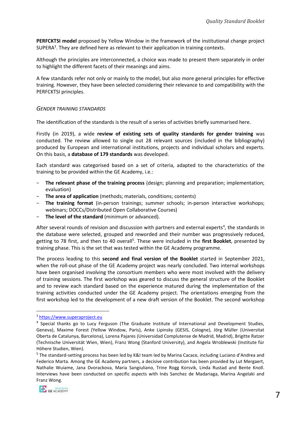**PERFCKTSI model** proposed by Yellow Window in the framework of the institutional change project SUPERA<sup>3</sup>. They are defined here as relevant to their application in training contexts.

Although the principles are interconnected, a choice was made to present them separately in order to highlight the different facets of their meanings and aims.

A few standards refer not only or mainly to the model, but also more general principles for effective training. However, they have been selected considering their relevance to and compatibility with the PERFCKTSI principles.

#### *GENDER TRAINING STANDARDS*

The identification of the standards is the result of a series of activities briefly summarised here.

Firstly (in 2019), a wide **review of existing sets of quality standards for gender training** was conducted. The review allowed to single out 28 relevant sources (included in the bibliography) produced by European and international institutions, projects and individual scholars and experts. On this basis, a **database of 179 standards** was developed.

Each standard was categorised based on a set of criteria, adapted to the characteristics of the training to be provided within the GE Academy, i.e.:

- − **The relevant phase of the training process** (design; planning and preparation; implementation; evaluation)
- − **The area of application** (methods; materials, conditions; contents)
- − **The training format** (in-person trainings; summer schools; in-person interactive workshops; webinars; DOCCs/Distributed Open Collaborative Courses)
- − **The level of the standard** (minimum or advanced).

After several rounds of revision and discussion with partners and external experts<sup>4</sup>, the standards in the database were selected, grouped and reworded and their number was progressively reduced, getting to 78 first, and then to 40 overall<sup>5</sup>. These were included in the first Booklet, presented by training phase. This is the set that was tested within the GE Academy programme.

The process leading to this **second and final version of the Booklet** started in September 2021, when the roll-out phase of the GE Academy project was nearly concluded. Two internal workshops have been organised involving the consortium members who were most involved with the delivery of training sessions. The first workshop was geared to discuss the general structure of the Booklet and to review each standard based on the experience matured during the implementation of the training activities conducted under the GE Academy project. The orientations emerging from the first workshop led to the development of a new draft version of the Booklet. The second workshop

<sup>&</sup>lt;sup>5</sup> The standard-setting process has been led by K&I team led by Marina Cacace, including Luciano d'Andrea and Federico Marta. Among the GE Academy partners, a decisive contribution has been provided by Lut Mergaert, Nathalie Wuiame, Jana Dvorackova, Maria Sangiuliano, Trine Rogg Korsvik, Linda Rustad and Bente Knoll. Interviews have been conducted on specific aspects with Inés Sanchez de Madariaga, Marina Angelaki and Franz Wong.



<sup>3</sup> [https://www.superaproject.eu](https://www.superaproject.eu/)

<sup>&</sup>lt;sup>4</sup> Special thanks go to Lucy Ferguson (The Graduate Institute of International and Development Studies, Geneva), Maxime Forest (Yellow Window, Paris), Anke Lipinsky (GESIS, Cologne), Jörg Müller (Universitat Oberta de Catalunya, Barcelona), Lorena Pajares (Universidad Complutense de Madrid, Madrid), Brigitte Ratzer (Technische Universität Wien, Wien), Franz Wong (Stanford University), and Angela Wroblewski (Institute für Höhere Studien, Wien).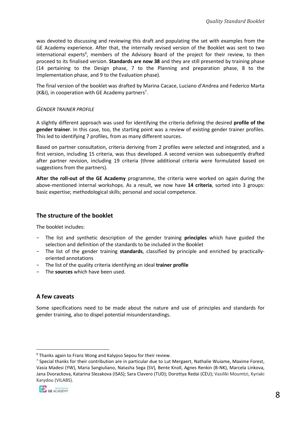was devoted to discussing and reviewing this draft and populating the set with examples from the GE Academy experience. After that, the internally revised version of the Booklet was sent to two international experts<sup>6</sup>, members of the Advisory Board of the project for their review, to then proceed to its finalised version. **Standards are now 38** and they are still presented by training phase (14 pertaining to the Design phase, 7 to the Planning and preparation phase, 8 to the Implementation phase, and 9 to the Evaluation phase).

The final version of the booklet was drafted by Marina Cacace, Luciano d'Andrea and Federico Marta (K&I), in cooperation with GE Academy partners<sup>7</sup>.

#### *GENDER TRAINER PROFILE*

A slightly different approach was used for identifying the criteria defining the desired **profile of the gender trainer**. In this case, too, the starting point was a review of existing gender trainer profiles. This led to identifying 7 profiles, from as many different sources.

Based on partner consultation, criteria deriving from 2 profiles were selected and integrated, and a first version, including 15 criteria, was thus developed. A second version was subsequently drafted after partner revision, including 19 criteria (three additional criteria were formulated based on suggestions from the partners).

**After the roll-out of the GE Academy** programme, the criteria were worked on again during the above-mentioned internal workshops. As a result, we now have **14 criteria**, sorted into 3 groups: basic expertise; methodological skills; personal and social competence.

#### **The structure of the booklet**

The booklet includes:

- − The list and synthetic description of the gender training **principles** which have guided the selection and definition of the standards to be included in the Booklet
- − The list of the gender training **standards**, classified by principle and enriched by practicallyoriented annotations
- − The list of the quality criteria identifying an ideal **trainer profile**
- − The **sources** which have been used.

#### **A few caveats**

Some specifications need to be made about the nature and use of principles and standards for gender training, also to dispel potential misunderstandings.

<sup>&</sup>lt;sup>7</sup> Special thanks for their contribution are in particular due to Lut Mergaert, Nathalie Wuiame, Maxime Forest, Vasia Madesi (YW), Maria Sangiuliano, Natasha Sega (SV), Bente Knoll, Agnes Renkin (B-NK), Marcela Linkova, Jana Dvorackova, Katarina Slezakova (ISAS); Sara Clavero (TUD); Dorottya Redai (CEU); Vasiliki Moumtzi, Kyriaki Karydou (VILABS).



<sup>6</sup> Thanks again to Franz Wong and Kalypso Sepou for their review.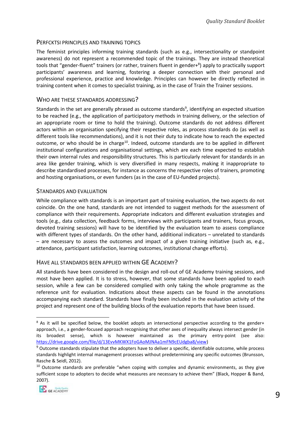#### PERFCKTSI PRINCIPLES AND TRAINING TOPICS

The feminist principles informing training standards (such as e.g., intersectionality or standpoint awareness) do not represent a recommended topic of the trainings. They are instead theoretical tools that "gender-fluent" trainers (or rather, trainers fluent in gender+<sup>8</sup>) apply to practically support participants' awareness and learning, fostering a deeper connection with their personal and professional experience, practice and knowledge. Principles can however be directly reflected in training content when it comes to specialist training, as in the case of Train the Trainer sessions.

#### WHO ARE THESE STANDARDS ADDRESSING?

Standards in the set are generally phrased as outcome standards<sup>9</sup>, identifying an expected situation to be reached (e.g., the application of participatory methods in training delivery, or the selection of an appropriate room or time to hold the training). Outcome standards do not address different actors within an organisation specifying their respective roles, as process standards do (as well as different tools like recommendations), and it is not their duty to indicate how to reach the expected outcome, or who should be in charge<sup>10</sup>. Indeed, outcome standards are to be applied in different institutional configurations and organisational settings, which are each time expected to establish their own internal rules and responsibility structures. This is particularly relevant for standards in an area like gender training, which is very diversified in many respects, making it inappropriate to describe standardised processes, for instance as concerns the respective roles of trainers, promoting and hosting organisations, or even funders (as in the case of EU-funded projects).

#### STANDARDS AND EVALUATION

While compliance with standards is an important part of training evaluation, the two aspects do not coincide. On the one hand, standards are not intended to suggest methods for the assessment of compliance with their requirements. Appropriate indicators and different evaluation strategies and tools (e.g., data collection, feedback forms, interviews with participants and trainers, focus groups, devoted training sessions) will have to be identified by the evaluation team to assess compliance with different types of standards. On the other hand, additional indicators – unrelated to standards – are necessary to assess the outcomes and impact of a given training initiative (such as, e.g., attendance, participant satisfaction, learning outcomes, institutional change efforts).

#### HAVE ALL STANDARDS BEEN APPLIED WITHIN GE ACADEMY?

All standards have been considered in the design and roll-out of GE Academy training sessions, and most have been applied. It is to stress, however, that some standards have been applied to each session, while a few can be considered complied with only taking the whole programme as the reference unit for evaluation. Indications about these aspects can be found in the annotations accompanying each standard. Standards have finally been included in the evaluation activity of the project and represent one of the building blocks of the evaluation reports that have been issued.

 $10$  Outcome standards are preferable "when coping with complex and dynamic environments, as they give sufficient scope to adopters to decide what measures are necessary to achieve them" (Black, Hopper & Band, 2007).



<sup>&</sup>lt;sup>8</sup> As it will be specified below, the booklet adopts an intersectional perspective according to the gender+ approach, i.e., a gender-focused approach recognising that other axes of inequality always intersect gender (in its broadest sense), which is however maintained as the primary entry-point (see also: [https://drive.google.com/file/d/13EvvMKWX1FoGAoMJNAa1mFN9cEUdgba8/view\)](https://drive.google.com/file/d/13EvvMKWX1FoGAoMJNAa1mFN9cEUdgba8/view)

 $9$  Outcome standards stipulate that the adopters have to deliver a specific, identifiable outcome, while process standards highlight internal management processes without predetermining any specific outcomes (Brunsson, Rasche & Seidl, 2012).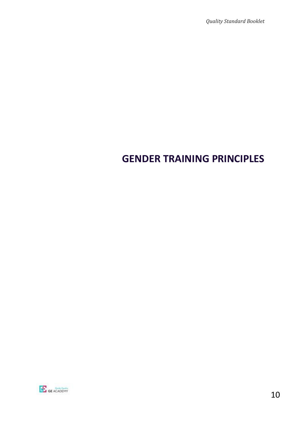# <span id="page-9-0"></span>**GENDER TRAINING PRINCIPLES**

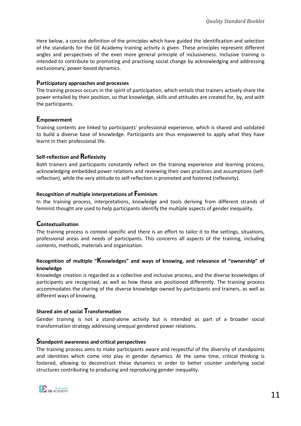Here below, a concise definition of the principles which have guided the identification and selection of the standards for the GE Academy training activity is given. These principles represent different angles and perspectives of the even more general principle of inclusiveness. Inclusive training is intended to contribute to promoting and practising social change by acknowledging and addressing exclusionary, power-based dynamics.

#### **Participatory approaches and processes**

The training process occurs in the spirit of participation, which entails that trainers actively share the power entailed by their position, so that knowledge, skills and attitudes are created for, by, and with the participants.

#### **Empowerment**

Training contents are linked to participants' professional experience, which is shared and validated to build a diverse base of knowledge. Participants are thus empowered to apply what they have learnt in their professional life.

#### **Self-reflection and Reflexivity**

Both trainers and participants constantly reflect on the training experience and learning process, acknowledging embedded power relations and reviewing their own practices and assumptions (selfreflection), while the very attitude to self-reflection is promoted and fostered (reflexivity).

#### **Recognition of multiple interpretations of Feminism**

In the training process, interpretations, knowledge and tools deriving from different strands of feminist thought are used to help participants identify the multiple aspects of gender inequality.

#### **Contextualisation**

The training process is context-specific and there is an effort to tailor it to the settings, situations, professional areas and needs of participants. This concerns all aspects of the training, including contents, methods, materials and organisation.

#### **Recognition of multiple "Knowledges" and ways of knowing, and relevance of "ownership" of knowledge**

Knowledge creation is regarded as a collective and inclusive process, and the diverse knowledges of participants are recognised, as well as how these are positioned differently. The training process accommodates the sharing of the diverse knowledge owned by participants and trainers, as well as different ways of knowing.

#### **Shared aim of social Transformation**

Gender training is not a stand-alone activity but is intended as part of a broader social transformation strategy addressing unequal gendered power relations.

#### **Standpoint awareness and critical perspectives**

The training process aims to make participants aware and respectful of the diversity of standpoints and identities which come into play in gender dynamics. At the same time, critical thinking is fostered, allowing to deconstruct these dynamics in order to better counter underlying social structures contributing to producing and reproducing gender inequality.

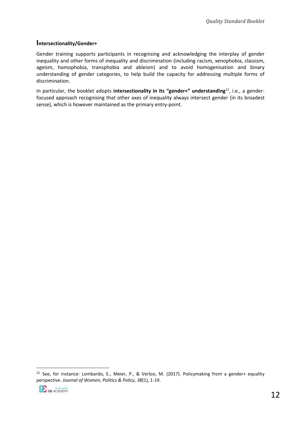#### **Intersectionality/Gender+**

Gender training supports participants in recognising and acknowledging the interplay of gender inequality and other forms of inequality and discrimination (including racism, xenophobia, classism, ageism, homophobia, transphobia and ableism) and to avoid homogenisation and binary understanding of gender categories, to help build the capacity for addressing multiple forms of discrimination.

In particular, the booklet adopts **intersectionality in its "gender+" understanding**<sup>11</sup>, i.e., a genderfocused approach recognising that other axes of inequality always intersect gender (in its broadest sense), which is however maintained as the primary entry-point.

<sup>11</sup> See, for instance: Lombardo, E., Meier, P., & Verloo, M. (2017). Policymaking from a gender+ equality perspective. *Journal of Women, Politics & Policy*, *38*(1), 1-19.

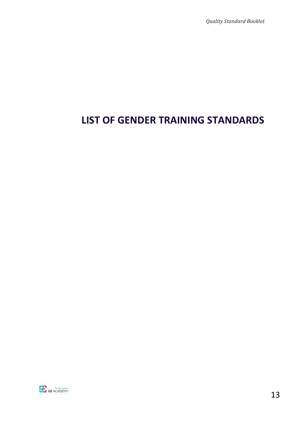# <span id="page-12-0"></span>**LIST OF GENDER TRAINING STANDARDS**

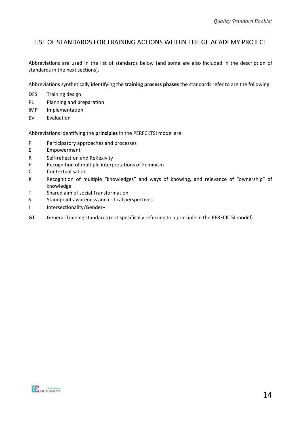## LIST OF STANDARDS FOR TRAINING ACTIONS WITHIN THE GE ACADEMY PROJECT

Abbreviations are used in the list of standards below (and some are also included in the description of standards in the next sections).

Abbreviations synthetically identifying the **training process phases** the standards refer to are the following:

- DES Training design
- PL Planning and preparation
- IMP Implementation
- EV Evaluation

Abbreviations identifying the **principles** in the PERFCKTSI model are:

- P Participatory approaches and processes
- E Empowerment
- R Self-reflection and Reflexivity
- F Recognition of multiple interpretations of Feminism
- C Contextualisation
- K Recognition of multiple "knowledges" and ways of knowing, and relevance of "ownership" of knowledge
- T Shared aim of social Transformation
- S Standpoint awareness and critical perspectives
- I Intersectionality/Gender+
- GT General Training standards (not specifically referring to a principle in the PERFCKTSI model)

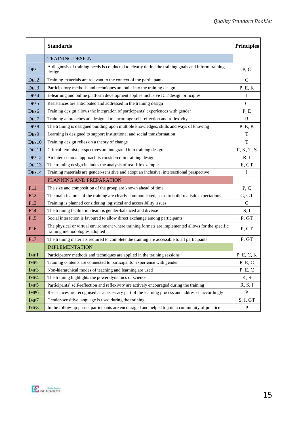|                   | <b>Standards</b>                                                                                                                     | <b>Principles</b> |
|-------------------|--------------------------------------------------------------------------------------------------------------------------------------|-------------------|
|                   | <b>TRAINING DESIGN</b>                                                                                                               |                   |
| DES1              | A diagnosis of training needs is conducted to clearly define the training goals and inform training<br>design                        | P, C              |
| DES <sub>2</sub>  | Training materials are relevant to the context of the participants                                                                   | $\mathsf{C}$      |
| DES3              | Participatory methods and techniques are built into the training design                                                              | P, E, K           |
| DES4              | E-learning and online platform development applies inclusive ICT design principles                                                   | I                 |
| DES <sub>5</sub>  | Resistances are anticipated and addressed in the training design                                                                     | $\mathbf C$       |
| DES6              | Training design allows the integration of participants' experiences with gender                                                      | P, E              |
| DES7              | Training approaches are designed to encourage self-reflection and reflexivity                                                        | R                 |
| DES <sub>8</sub>  | The training is designed building upon multiple knowledges, skills and ways of knowing                                               | P, E, K           |
| DES9              | Learning is designed to support institutional and social transformation                                                              | T                 |
| DES10             | Training design relies on a theory of change                                                                                         | $\mathbf T$       |
| DES11             | Critical feminist perspectives are integrated into training design                                                                   | F, K, T, S        |
| DES <sub>12</sub> | An intersectional approach is considered in training design                                                                          | R, I              |
| DES <sub>13</sub> | The training design includes the analysis of real-life examples                                                                      | E, GT             |
| DES14             | Training materials are gender-sensitive and adopt an inclusive, intersectional perspective                                           | I                 |
|                   | PLANNING AND PREPARATION                                                                                                             |                   |
| PL1               | The size and composition of the group are known ahead of time                                                                        | P, C              |
| PL2               | The main features of the training are clearly communicated, so as to build realistic expectations                                    | C, GT             |
| PL3               | Training is planned considering logistical and accessibility issues                                                                  | $\mathsf{C}$      |
| PL4               | The training facilitation team is gender-balanced and diverse                                                                        | S, I              |
| PL5               | Social interaction is favoured to allow direct exchange among participants                                                           | P, GT             |
| PL <sub>6</sub>   | The physical or virtual environment where training formats are implemented allows for the specific<br>training methodologies adopted | P, GT             |
| PL7               | The training materials required to complete the training are accessible to all participants                                          | P, GT             |
|                   | <b>IMPLEMENTATION</b>                                                                                                                |                   |
| IMP1              | Participatory methods and techniques are applied in the training sessions                                                            | P, E, C, K        |
| IMP <sub>2</sub>  | Training contents are connected to participants' experience with gender                                                              | P, E, C           |
| IMP3              | Non-hierarchical modes of teaching and learning are used                                                                             | P, E, C           |
| IMP4              | The training highlights the power dynamics of science                                                                                | K, S              |
| IMP5              | Participants' self-reflection and reflexivity are actively encouraged during the training                                            | R, S, I           |
| IMP6              | Resistances are recognised as a necessary part of the learning process and addressed accordingly                                     | $\mathbf{P}$      |
| IMP7              | Gender-sensitive language is used during the training                                                                                | S, I, GT          |
| IMP8              | In the follow-up phase, participants are encouraged and helped to join a community of practice                                       | $\mathbf{P}$      |

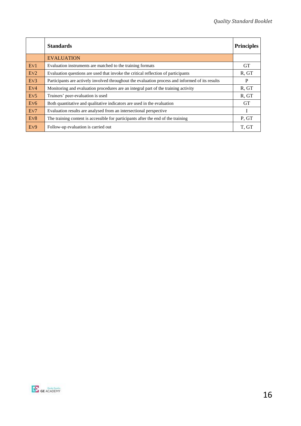|                             | <b>Standards</b>                                                                                 | <b>Principles</b> |
|-----------------------------|--------------------------------------------------------------------------------------------------|-------------------|
|                             | <b>EVALUATION</b>                                                                                |                   |
| Ev1                         | Evaluation instruments are matched to the training formats                                       | <b>GT</b>         |
| EV2                         | Evaluation questions are used that invoke the critical reflection of participants                | R, GT             |
| Ev3                         | Participants are actively involved throughout the evaluation process and informed of its results | P                 |
| Ev <sub>4</sub>             | Monitoring and evaluation procedures are an integral part of the training activity               | R, GT             |
| Ev <sub>5</sub>             | Trainers' peer-evaluation is used                                                                | R, GT             |
| E <sub>V</sub> <sub>6</sub> | Both quantitative and qualitative indicators are used in the evaluation                          | <b>GT</b>         |
| Ev7                         | Evaluation results are analysed from an intersectional perspective                               | I                 |
| Ev8                         | The training content is accessible for participants after the end of the training                | P, GT             |
| Ev9                         | Follow-up evaluation is carried out                                                              | T, GT             |

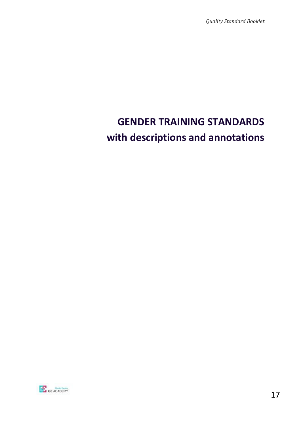*Quality Standard Booklet* 

# <span id="page-16-1"></span><span id="page-16-0"></span>**GENDER TRAINING STANDARDS with descriptions and annotations**

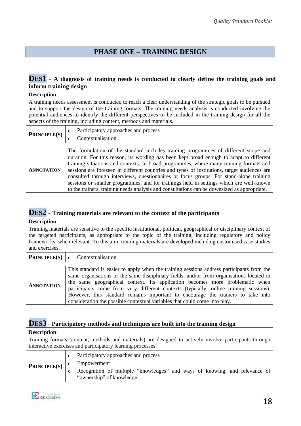# **PHASE ONE – TRAINING DESIGN**

#### <span id="page-17-0"></span>**DES1 - A diagnosis of training needs is conducted to clearly define the training goals and inform training design**

| <b>Description:</b>                                                                                                                                                                                                                                                                                                                                                                                             |                                                                                                                                                                                                                                                                                                                                                                                                                                                                                                                                                                                                                                                              |  |  |
|-----------------------------------------------------------------------------------------------------------------------------------------------------------------------------------------------------------------------------------------------------------------------------------------------------------------------------------------------------------------------------------------------------------------|--------------------------------------------------------------------------------------------------------------------------------------------------------------------------------------------------------------------------------------------------------------------------------------------------------------------------------------------------------------------------------------------------------------------------------------------------------------------------------------------------------------------------------------------------------------------------------------------------------------------------------------------------------------|--|--|
| A training needs assessment is conducted to reach a clear understanding of the strategic goals to be pursued<br>and to support the design of the training formats. The training needs analysis is conducted involving the<br>potential audiences to identify the different perspectives to be included in the training design for all the<br>aspects of the training, including content, methods and materials. |                                                                                                                                                                                                                                                                                                                                                                                                                                                                                                                                                                                                                                                              |  |  |
| PRINCIPLE(S)                                                                                                                                                                                                                                                                                                                                                                                                    | Participatory approaches and process<br>$\Omega$<br>Contextualisation<br><sup>o</sup>                                                                                                                                                                                                                                                                                                                                                                                                                                                                                                                                                                        |  |  |
|                                                                                                                                                                                                                                                                                                                                                                                                                 |                                                                                                                                                                                                                                                                                                                                                                                                                                                                                                                                                                                                                                                              |  |  |
| <b>ANNOTATION</b>                                                                                                                                                                                                                                                                                                                                                                                               | The formulation of the standard includes training programmes of different scope and<br>duration. For this reason, its wording has been kept broad enough to adapt to different<br>training situations and contexts. In broad programmes, where many training formats and<br>sessions are foreseen in different countries and types of institutions, target audiences are<br>consulted through interviews, questionnaires or focus groups. For stand-alone training<br>sessions or smaller programmes, and for trainings held in settings which are well-known<br>to the trainers, training needs analysis and consultations can be downsized as appropriate. |  |  |

# **DES2 - Training materials are relevant to the context of the participants**

Training materials are sensitive to the specific institutional, political, geographical or disciplinary context of the targeted participants, as appropriate to the topic of the training, including regulatory and policy frameworks, when relevant. To this aim, training materials are developed including customised case studies and exercises.

|                   | <b>PRINCIPLE(S)</b> $\vert$ o Contextualisation                                                                                                                                                                                                                                                                                                                                                                                                                                                                                 |
|-------------------|---------------------------------------------------------------------------------------------------------------------------------------------------------------------------------------------------------------------------------------------------------------------------------------------------------------------------------------------------------------------------------------------------------------------------------------------------------------------------------------------------------------------------------|
|                   |                                                                                                                                                                                                                                                                                                                                                                                                                                                                                                                                 |
| <b>ANNOTATION</b> | This standard is easier to apply when the training sessions address participants from the<br>same organisations or the same disciplinary fields, and/or from organisations located in<br>the same geographical context. Its application becomes more problematic when<br>participants come from very different contexts (typically, online training sessions).<br>However, this standard remains important to encourage the trainers to take into<br>consideration the possible contextual variables that could come into play. |

# **DES3 - Participatory methods and techniques are built into the training design**

#### **Description**:

Training formats (content, methods and materials) are designed to actively involve participants through interactive exercises and participatory learning processes.

|                     | Participatory approaches and process                                                                   |
|---------------------|--------------------------------------------------------------------------------------------------------|
| <b>PRINCIPLE(S)</b> | Empowerment                                                                                            |
|                     | Recognition of multiple "knowledges" and ways of knowing, and relevance of<br>"ownership" of knowledge |
|                     |                                                                                                        |

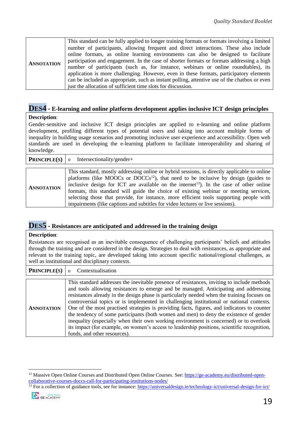| <b>ANNOTATION</b> | This standard can be fully applied to longer training formats or formats involving a limited<br>number of participants, allowing frequent and direct interactions. These also include<br>online formats, as online learning environments can also be designed to facilitate<br>participation and engagement. In the case of shorter formats or formats addressing a high<br>number of participants (such as, for instance, webinars or online roundtables), its<br>application is more challenging. However, even in these formats, participatory elements |
|-------------------|------------------------------------------------------------------------------------------------------------------------------------------------------------------------------------------------------------------------------------------------------------------------------------------------------------------------------------------------------------------------------------------------------------------------------------------------------------------------------------------------------------------------------------------------------------|
|                   | can be included as appropriate, such as instant polling, attentive use of the chatbox or even                                                                                                                                                                                                                                                                                                                                                                                                                                                              |
|                   | just the allocation of sufficient time slots for discussion.                                                                                                                                                                                                                                                                                                                                                                                                                                                                                               |

# **DES4 - E-learning and online platform development applies inclusive ICT design principles**

#### **Description**:

Gender-sensitive and inclusive ICT design principles are applied to e-learning and online platform development, profiling different types of potential users and taking into account multiple forms of inequality in building usage scenarios and promoting inclusive user experience and accessibility. Open web standards are used in developing the e-learning platform to facilitate interoperability and sharing of knowledge.

|                   | <b>PRINCIPLE(S)</b> o Intersectionality/gender+                                                                                                                                                                                                                                                                                                                                                                                                                                                                                                                             |
|-------------------|-----------------------------------------------------------------------------------------------------------------------------------------------------------------------------------------------------------------------------------------------------------------------------------------------------------------------------------------------------------------------------------------------------------------------------------------------------------------------------------------------------------------------------------------------------------------------------|
|                   |                                                                                                                                                                                                                                                                                                                                                                                                                                                                                                                                                                             |
| <b>ANNOTATION</b> | This standard, mostly addressing online or hybrid sessions, is directly applicable to online<br>platforms (like MOOCs or DOCCs <sup>12</sup> ), that need to be inclusive by design (guides to<br>inclusive design for ICT are available on the internet <sup>13</sup> ). In the case of other online<br>formats, this standard will guide the choice of existing webinar or meeting services,<br>selecting those that provide, for instance, more efficient tools supporting people with<br>impairments (like captions and subtitles for video lectures or live sessions). |

### **DES5 - Resistances are anticipated and addressed in the training design**

#### **Description**:

Resistances are recognised as an inevitable consequence of challenging participants' beliefs and attitudes through the training and are considered in the design. Strategies to deal with resistances, as appropriate and relevant to the training topic, are developed taking into account specific national/regional challenges, as well as institutional and disciplinary contexts.

| <b>PRINCIPLE(S)</b> $\circ$ |  | Contextualisation |
|-----------------------------|--|-------------------|
|-----------------------------|--|-------------------|

|                   | This standard addresses the inevitable presence of resistances, inviting to include methods |
|-------------------|---------------------------------------------------------------------------------------------|
| <b>ANNOTATION</b> | and tools allowing resistances to emerge and be managed. Anticipating and addressing        |
|                   | resistances already in the design phase is particularly needed when the training focuses on |
|                   | controversial topics or is implemented in challenging institutional or national contexts.   |
|                   | One of the most practised strategies is providing facts, figures, and indicators to counter |
|                   | the tendency of some participants (both women and men) to deny the existence of gender      |
|                   | inequality (especially when their own working environment is concerned) or to overlook      |
|                   | its impact (for example, on women's access to leadership positions, scientific recognition, |
|                   | funds, and other resources).                                                                |

<sup>&</sup>lt;sup>13</sup> For a collection of guidance tools, see for instance:<https://universaldesign.ie/technology-ict/universal-design-for-ict/>



<sup>&</sup>lt;sup>12</sup> Massive Open Online Courses and Distributed Open Online Courses. See: [https://ge-academy.eu/distributed-open](https://ge-academy.eu/distributed-open-collaborative-courses-doccs-call-for-participating-institutions-nodes/)[collaborative-courses-doccs-call-for-participating-institutions-nodes/](https://ge-academy.eu/distributed-open-collaborative-courses-doccs-call-for-participating-institutions-nodes/)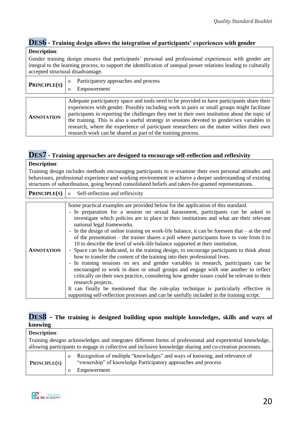# **DES6 - Training design allows the integration of participants' experiences with gender**

#### **Description**:

Gender training design ensures that participants' personal and professional experiences with gender are integral to the learning process, to support the identification of unequal power relations leading to culturally accepted structural disadvantage.

| <b>PRINCIPLE(S)</b> | Participatory approaches and process<br>$\Omega$<br>Empowerment<br>Ω                                                                                                                                                                                                                                                                                                                                                                                                                                                                                  |
|---------------------|-------------------------------------------------------------------------------------------------------------------------------------------------------------------------------------------------------------------------------------------------------------------------------------------------------------------------------------------------------------------------------------------------------------------------------------------------------------------------------------------------------------------------------------------------------|
| <b>ANNOTATION</b>   | Adequate participatory space and tools need to be provided to have participants share their<br>experiences with gender. Possibly including work in pairs or small groups might facilitate<br>participants in reporting the challenges they met in their own institution about the topic of<br>the training. This is also a useful strategy in sessions devoted to gender/sex variables in<br>research, where the experience of participant researchers on the matter within their own<br>research work can be shared as part of the training process. |

# **DES7 - Training approaches are designed to encourage self-reflection and reflexivity**

#### **Description**:

Training design includes methods encouraging participants to re-examine their own personal attitudes and behaviours, professional experience and working environment to achieve a deeper understanding of existing structures of subordination, going beyond consolidated beliefs and taken-for-granted representations.

| <b>PRINCIPLE(S)</b> | Self-reflection and reflexivity<br>$\overline{O}$                                                                                                                                                                                                                                                                                                                                                                                                                                                                                                                                                                                                                                                                                                                                                                                                                                                                                                                                                                                                                                                                                                                                                                                                   |
|---------------------|-----------------------------------------------------------------------------------------------------------------------------------------------------------------------------------------------------------------------------------------------------------------------------------------------------------------------------------------------------------------------------------------------------------------------------------------------------------------------------------------------------------------------------------------------------------------------------------------------------------------------------------------------------------------------------------------------------------------------------------------------------------------------------------------------------------------------------------------------------------------------------------------------------------------------------------------------------------------------------------------------------------------------------------------------------------------------------------------------------------------------------------------------------------------------------------------------------------------------------------------------------|
|                     |                                                                                                                                                                                                                                                                                                                                                                                                                                                                                                                                                                                                                                                                                                                                                                                                                                                                                                                                                                                                                                                                                                                                                                                                                                                     |
| <b>ANNOTATION</b>   | Some practical examples are provided below for the application of this standard.<br>- In preparation for a session on sexual harassment, participants can be asked to<br>investigate which policies are in place in their institutions and what are their relevant<br>national legal frameworks.<br>- In the design of online training on work-life balance, it can be foreseen that $-$ at the end<br>of the presentation – the trainer shares a poll where participants have to vote from 0 to<br>10 to describe the level of work-life balance supported at their institution.<br>- Space can be dedicated, in the training design, to encourage participants to think about<br>how to transfer the content of the training into their professional lives.<br>- In training sessions on sex and gender variables in research, participants can be<br>encouraged to work in duos or small groups and engage with one another to reflect<br>critically on their own practice, considering how gender issues could be relevant to their<br>research projects.<br>It can finally be mentioned that the role-play technique is particularly effective in<br>supporting self-reflection processes and can be usefully included in the training script. |

# **DES8 - The training is designed building upon multiple knowledges, skills and ways of knowing**

| <b>Description:</b>                                                                                      |          |                                                                                                                                             |
|----------------------------------------------------------------------------------------------------------|----------|---------------------------------------------------------------------------------------------------------------------------------------------|
| Training designs acknowledges and integrates different forms of professional and experiential knowledge, |          |                                                                                                                                             |
|                                                                                                          |          | allowing participants to engage in collective and inclusive knowledge sharing and co-creation processes.                                    |
| <b>PRINCIPLE(S)</b>                                                                                      | $\Omega$ | Recognition of multiple "knowledges" and ways of knowing, and relevance of<br>"ownership" of knowledge Participatory approaches and process |
|                                                                                                          |          | Empowerment                                                                                                                                 |

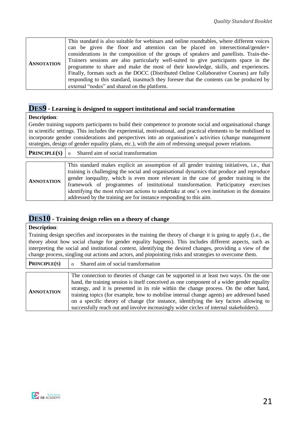# **DES9 - Learning is designed to support institutional and social transformation**

#### **Description**:

Gender training supports participants to build their competence to promote social and organisational change in scientific settings. This includes the experiential, motivational, and practical elements to be mobilised to incorporate gender considerations and perspectives into an organisation's activities (change management strategies, design of gender equality plans, etc.), with the aim of redressing unequal power relations.

|                   | <b>PRINCIPLE(S)</b> $\vert \circ \vert$ Shared aim of social transformation                                                                                                                                                                                                                                                                                                                                                                                                                                                            |
|-------------------|----------------------------------------------------------------------------------------------------------------------------------------------------------------------------------------------------------------------------------------------------------------------------------------------------------------------------------------------------------------------------------------------------------------------------------------------------------------------------------------------------------------------------------------|
|                   |                                                                                                                                                                                                                                                                                                                                                                                                                                                                                                                                        |
| <b>ANNOTATION</b> | This standard makes explicit an assumption of all gender training initiatives, i.e., that<br>training is challenging the social and organisational dynamics that produce and reproduce<br>gender inequality, which is even more relevant in the case of gender training in the<br>framework of programmes of institutional transformation. Participatory exercises<br>identifying the most relevant actions to undertake at one's own institution in the domains<br>addressed by the training are for instance responding to this aim. |

# **DES10 - Training design relies on a theory of change**

#### **Description**:

Training design specifies and incorporates in the training the theory of change it is going to apply (i.e., the theory about how social change for gender equality happens). This includes different aspects, such as interpreting the social and institutional context, identifying the desired changes, providing a view of the change process, singling out actions and actors, and pinpointing risks and strategies to overcome them.

| <b>PRINCIPLE(S)</b> | Shared aim of social transformation                                                                                                                                                                                                                                                                                                                                                                                                                                                                                                                               |
|---------------------|-------------------------------------------------------------------------------------------------------------------------------------------------------------------------------------------------------------------------------------------------------------------------------------------------------------------------------------------------------------------------------------------------------------------------------------------------------------------------------------------------------------------------------------------------------------------|
|                     |                                                                                                                                                                                                                                                                                                                                                                                                                                                                                                                                                                   |
| <b>ANNOTATION</b>   | The connection to theories of change can be supported in at least two ways. On the one<br>hand, the training session is itself conceived as one component of a wider gender equality<br>strategy, and it is presented in its role within the change process. On the other hand,<br>training topics (for example, how to mobilise internal change agents) are addressed based<br>on a specific theory of change (for instance, identifying the key factors allowing to<br>successfully reach out and involve increasingly wider circles of internal stakeholders). |

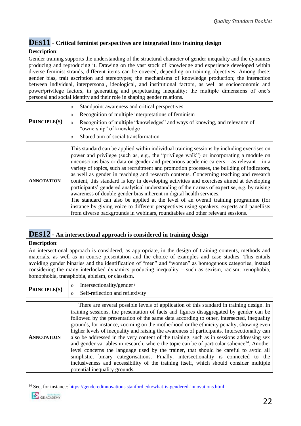# **DES11 - Critical feminist perspectives are integrated into training design**

#### **Description**:

Gender training supports the understanding of the structural character of gender inequality and the dynamics producing and reproducing it. Drawing on the vast stock of knowledge and experience developed within diverse feminist strands, different items can be covered, depending on training objectives. Among these: gender bias, trait ascription and stereotypes; the mechanisms of knowledge production; the interaction between individual, interpersonal, ideological, and institutional factors, as well as socioeconomic and power/privilege factors, in generating and perpetuating inequality; the multiple dimensions of one's personal and social identity and their role in shaping gender relations.

| <b>PRINCIPLE(S)</b> | Standpoint awareness and critical perspectives<br>$\Omega$<br>Recognition of multiple interpretations of feminism<br>Recognition of multiple "knowledges" and ways of knowing, and relevance of<br>$\Omega$<br>"ownership" of knowledge<br>Shared aim of social transformation |
|---------------------|--------------------------------------------------------------------------------------------------------------------------------------------------------------------------------------------------------------------------------------------------------------------------------|
|                     |                                                                                                                                                                                                                                                                                |

|                   | This standard can be applied within individual training sessions by including exercises on   |
|-------------------|----------------------------------------------------------------------------------------------|
|                   | power and privilege (such as, e.g., the "privilege walk") or incorporating a module on       |
|                   | unconscious bias or data on gender and precarious academic careers $-$ as relevant $-$ in a  |
|                   | variety of topics, such as recruitment and promotion processes, the building of indicators,  |
|                   | as well as gender in teaching and research contents. Concerning teaching and research        |
| <b>ANNOTATION</b> | content, this standard is key in developing activities and exercises aimed at developing     |
|                   | participants' gendered analytical understanding of their areas of expertise, e.g. by raising |
|                   | awareness of double gender bias inherent in digital health services.                         |
|                   | The standard can also be applied at the level of an overall training programme (for          |
|                   | instance by giving voice to different perspectives using speakers, experts and panellists    |
|                   | from diverse backgrounds in webinars, roundtables and other relevant sessions.               |

# **DES12 - An intersectional approach is considered in training design**

#### **Description**:

An intersectional approach is considered, as appropriate, in the design of training contents, methods and materials, as well as in course presentation and the choice of examples and case studies. This entails avoiding gender binaries and the identification of "men" and "women" as homogenous categories, instead considering the many interlocked dynamics producing inequality – such as sexism, racism, xenophobia, homophobia, transphobia, ableism, or classism.

| PRINCIPLE(S) | Intersectionality/gender+       |
|--------------|---------------------------------|
|              | Self-reflection and reflexivity |

|                   | There are several possible levels of application of this standard in training design. In                |
|-------------------|---------------------------------------------------------------------------------------------------------|
|                   | training sessions, the presentation of facts and figures disaggregated by gender can be                 |
|                   | followed by the presentation of the same data according to other, intersected, inequality               |
|                   | grounds, for instance, zooming on the motherhood or the ethnicity penalty, showing even                 |
|                   | higher levels of inequality and raising the awareness of participants. Intersectionality can            |
| <b>ANNOTATION</b> | also be addressed in the very content of the training, such as in sessions addressing sex               |
|                   | and gender variables in research, where the topic can be of particular salience <sup>14</sup> . Another |
|                   | level concerns the language used by the trainer, that should be careful to avoid all                    |
|                   | simplistic, binary categorisations. Finally, intersectionality is connected to the                      |
|                   | inclusiveness and accessibility of the training itself, which should consider multiple                  |
|                   | potential inequality grounds.                                                                           |

<sup>14</sup> See, for instance:<https://genderedinnovations.stanford.edu/what-is-gendered-innovations.html>

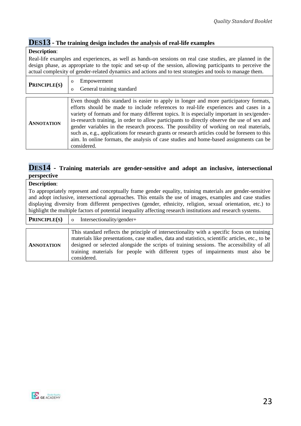# **DES13 - The training design includes the analysis of real-life examples**

#### **Description**:

Real-life examples and experiences, as well as hands-on sessions on real case studies, are planned in the design phase, as appropriate to the topic and set-up of the session, allowing participants to perceive the actual complexity of gender-related dynamics and actions and to test strategies and tools to manage them.

| PRINCIPLE(S)      | Empowerment<br>$\Omega$                                                                                                                                                                                                                                                                                                                                                                                                                                                                                                                                                                                                                                                            |
|-------------------|------------------------------------------------------------------------------------------------------------------------------------------------------------------------------------------------------------------------------------------------------------------------------------------------------------------------------------------------------------------------------------------------------------------------------------------------------------------------------------------------------------------------------------------------------------------------------------------------------------------------------------------------------------------------------------|
|                   | General training standard<br>$\Omega$                                                                                                                                                                                                                                                                                                                                                                                                                                                                                                                                                                                                                                              |
| <b>ANNOTATION</b> | Even though this standard is easier to apply in longer and more participatory formats,<br>efforts should be made to include references to real-life experiences and cases in a<br>variety of formats and for many different topics. It is especially important in sex/gender-<br>in-research training, in order to allow participants to directly observe the use of sex and<br>gender variables in the research process. The possibility of working on real materials,<br>such as, e.g., applications for research grants or research articles could be foreseen to this<br>aim. In online formats, the analysis of case studies and home-based assignments can be<br>considered. |

### **DES14 - Training materials are gender-sensitive and adopt an inclusive, intersectional perspective**

#### **Description**:

To appropriately represent and conceptually frame gender equality, training materials are gender-sensitive and adopt inclusive, intersectional approaches. This entails the use of images, examples and case studies displaying diversity from different perspectives (gender, ethnicity, religion, sexual orientation, etc.) to highlight the multiple factors of potential inequality affecting research institutions and research systems.

| <b>PRINCIPLE(S)</b> |  | Intersectionality/gender+ |
|---------------------|--|---------------------------|
|---------------------|--|---------------------------|

**ANNOTATION** This standard reflects the principle of intersectionality with a specific focus on training materials like presentations, case studies, data and statistics, scientific articles, etc., to be designed or selected alongside the scripts of training sessions. The accessibility of all training materials for people with different types of impairments must also be considered.

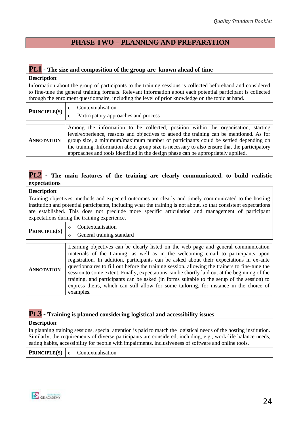## **PHASE TWO – PLANNING AND PREPARATION**

# <span id="page-23-0"></span>**PL1 - The size and composition of the group are known ahead of time**

#### **Description**:

Information about the group of participants to the training sessions is collected beforehand and considered to fine-tune the general training formats. Relevant information about each potential participant is collected through the enrolment questionnaire, including the level of prior knowledge on the topic at hand.

| <b>PRINCIPLE(S)</b> | Contextualisation                                                                             |  |  |  |
|---------------------|-----------------------------------------------------------------------------------------------|--|--|--|
|                     | Participatory approaches and process                                                          |  |  |  |
|                     |                                                                                               |  |  |  |
| <b>ANNOTATION</b>   | Among the information to be collected, position within the organisation, starting             |  |  |  |
|                     | level/experience, reasons and objectives to attend the training can be mentioned. As for      |  |  |  |
|                     | group size, a minimum/maximum number of participants could be settled depending on            |  |  |  |
|                     | the training. Information about group size is necessary to also ensure that the participatory |  |  |  |
|                     | approaches and tools identified in the design phase can be appropriately applied.             |  |  |  |

## **PL2 - The main features of the training are clearly communicated, to build realistic expectations**

#### **Description**:

Training objectives, methods and expected outcomes are clearly and timely communicated to the hosting institution and potential participants, including what the training is not about, so that consistent expectations are established. This does not preclude more specific articulation and management of participant expectations during the training experience.

| <b>PRINCIPLE(S)</b> | Contextualisation         |
|---------------------|---------------------------|
|                     | General training standard |

|                   | Learning objectives can be clearly listed on the web page and general communication                                                                                                        |
|-------------------|--------------------------------------------------------------------------------------------------------------------------------------------------------------------------------------------|
|                   | materials of the training, as well as in the welcoming email to participants upon                                                                                                          |
| <b>ANNOTATION</b> | registration. In addition, participants can be asked about their expectations in ex-ante<br>questionnaires to fill out before the training session, allowing the trainers to fine-tune the |
|                   |                                                                                                                                                                                            |
|                   | session to some extent. Finally, expectations can be shortly laid out at the beginning of the                                                                                              |
|                   | training, and participants can be asked (in forms suitable to the setup of the session) to                                                                                                 |
|                   | express theirs, which can still allow for some tailoring, for instance in the choice of                                                                                                    |
|                   | examples.                                                                                                                                                                                  |

### **PL3 - Training is planned considering logistical and accessibility issues**

#### **Description**:

In planning training sessions, special attention is paid to match the logistical needs of the hosting institution. Similarly, the requirements of diverse participants are considered, including, e.g., work-life balance needs, eating habits, accessibility for people with impairments, inclusiveness of software and online tools.

**PRINCIPLE(S)** o Contextualisation

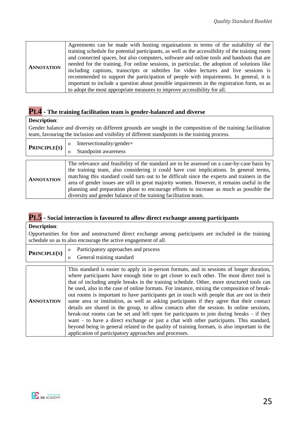# **PL4 - The training facilitation team is gender-balanced and diverse**

#### **Description**:

Gender balance and diversity on different grounds are sought in the composition of the training facilitation team, favouring the inclusion and visibility of different standpoints in the training process.

|                     | Intersectionality/gender+                                                                                                                                                                                                                                                                                                                                                                                                                                                                                                                        |
|---------------------|--------------------------------------------------------------------------------------------------------------------------------------------------------------------------------------------------------------------------------------------------------------------------------------------------------------------------------------------------------------------------------------------------------------------------------------------------------------------------------------------------------------------------------------------------|
| <b>PRINCIPLE(S)</b> | Standpoint awareness                                                                                                                                                                                                                                                                                                                                                                                                                                                                                                                             |
|                     |                                                                                                                                                                                                                                                                                                                                                                                                                                                                                                                                                  |
| <b>ANNOTATION</b>   | The relevance and feasibility of the standard are to be assessed on a case-by-case basis by<br>the training team, also considering it could have cost implications. In general terms,<br>matching this standard could turn out to be difficult since the experts and trainers in the<br>area of gender issues are still in great majority women. However, it remains useful in the<br>planning and preparation phase to encourage efforts to increase as much as possible the<br>diversity and gender balance of the training facilitation team. |

# **PL5 - Social interaction is favoured to allow direct exchange among participants**

#### **Description**:

Opportunities for free and unstructured direct exchange among participants are included in the training schedule so as to also encourage the active engagement of all.

|                   | Participatory approaches and process<br>$\mathbf{o}$                                                                                                                                                                                                                                                                                                                                                                                                                                                                                                                                                                                                                                                                                                                                                                                                                                                                                                                 |
|-------------------|----------------------------------------------------------------------------------------------------------------------------------------------------------------------------------------------------------------------------------------------------------------------------------------------------------------------------------------------------------------------------------------------------------------------------------------------------------------------------------------------------------------------------------------------------------------------------------------------------------------------------------------------------------------------------------------------------------------------------------------------------------------------------------------------------------------------------------------------------------------------------------------------------------------------------------------------------------------------|
| PRINCIPLE(S)      | General training standard<br>$\Omega$                                                                                                                                                                                                                                                                                                                                                                                                                                                                                                                                                                                                                                                                                                                                                                                                                                                                                                                                |
|                   |                                                                                                                                                                                                                                                                                                                                                                                                                                                                                                                                                                                                                                                                                                                                                                                                                                                                                                                                                                      |
| <b>ANNOTATION</b> | This standard is easier to apply in in-person formats, and in sessions of longer duration,<br>where participants have enough time to get closer to each other. The most direct tool is<br>that of including ample breaks in the training schedule. Other, more structured tools can<br>be used, also in the case of online formats. For instance, mixing the composition of break-<br>out rooms is important to have participants get in touch with people that are not in their<br>same area or institution, as well as asking participants if they agree that their contact<br>details are shared in the group, to allow contacts after the session. In online sessions,<br>break-out rooms can be set and left open for participants to join during breaks $-$ if they<br>want – to have a direct exchange or just a chat with other participants. This standard,<br>beyond being in general related to the quality of training formats, is also important in the |
|                   | application of participatory approaches and processes.                                                                                                                                                                                                                                                                                                                                                                                                                                                                                                                                                                                                                                                                                                                                                                                                                                                                                                               |

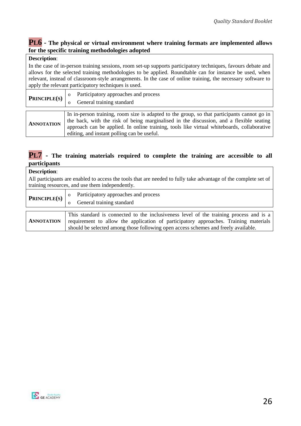## **PL6 - The physical or virtual environment where training formats are implemented allows for the specific training methodologies adopted**

#### **Description**:

In the case of in-person training sessions, room set-up supports participatory techniques, favours debate and allows for the selected training methodologies to be applied. Roundtable can for instance be used, when relevant, instead of classroom-style arrangements. In the case of online training, the necessary software to apply the relevant participatory techniques is used.

| <b>PRINCIPLE(S)</b> | Participatory approaches and process<br>General training standard                                                                                                                                                                                                                                                                   |
|---------------------|-------------------------------------------------------------------------------------------------------------------------------------------------------------------------------------------------------------------------------------------------------------------------------------------------------------------------------------|
| <b>ANNOTATION</b>   | In in-person training, room size is adapted to the group, so that participants cannot go in<br>the back, with the risk of being marginalised in the discussion, and a flexible seating<br>approach can be applied. In online training, tools like virtual whiteboards, collaborative<br>editing, and instant polling can be useful. |

# **PL7 - The training materials required to complete the training are accessible to all participants**

| <b>Description:</b> |                                                                                                                                                                                                                                                                      |
|---------------------|----------------------------------------------------------------------------------------------------------------------------------------------------------------------------------------------------------------------------------------------------------------------|
|                     | All participants are enabled to access the tools that are needed to fully take advantage of the complete set of<br>training resources, and use them independently.                                                                                                   |
| PRINCIPLE(S)        | Participatory approaches and process<br>General training standard                                                                                                                                                                                                    |
|                     |                                                                                                                                                                                                                                                                      |
| <b>ANNOTATION</b>   | This standard is connected to the inclusiveness level of the training process and is a<br>requirement to allow the application of participatory approaches. Training materials<br>should be selected among those following open access schemes and freely available. |

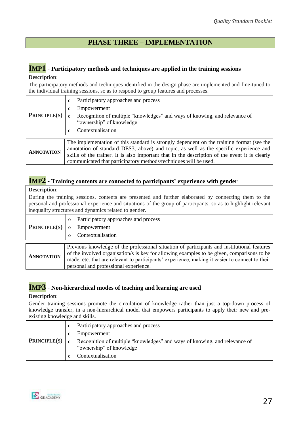## **PHASE THREE – IMPLEMENTATION**

#### <span id="page-26-0"></span>**IMP1 - Participatory methods and techniques are applied in the training sessions**

#### **Description**:

The participatory methods and techniques identified in the design phase are implemented and fine-tuned to the individual training sessions, so as to respond to group features and processes.

|                     | Participatory approaches and process<br>$\Omega$                                               |  |  |
|---------------------|------------------------------------------------------------------------------------------------|--|--|
|                     | Empowerment<br>$\Omega$                                                                        |  |  |
| <b>PRINCIPLE(S)</b> | Recognition of multiple "knowledges" and ways of knowing, and relevance of<br>$\Omega$         |  |  |
|                     | "ownership" of knowledge                                                                       |  |  |
|                     | Contextualisation<br>$\Omega$                                                                  |  |  |
|                     |                                                                                                |  |  |
|                     | The implementation of this standard is strongly dependent on the training format (see the      |  |  |
| <b>ANNOTATION</b>   | annotation of standard DES3, above) and topic, as well as the specific experience and          |  |  |
|                     | skills of the trainer. It is also important that in the description of the event it is clearly |  |  |
|                     | communicated that participatory methods/techniques will be used.                               |  |  |

## **IMP2 - Training contents are connected to participants' experience with gender**

#### **Description**:

During the training sessions, contents are presented and further elaborated by connecting them to the personal and professional experience and situations of the group of participants, so as to highlight relevant inequality structures and dynamics related to gender.

| <b>PRINCIPLE(S)</b> | Participatory approaches and process<br>$\Omega$<br>Empowerment<br>$\Omega$<br>Contextualisation                                                                                                                                                                                                                                     |
|---------------------|--------------------------------------------------------------------------------------------------------------------------------------------------------------------------------------------------------------------------------------------------------------------------------------------------------------------------------------|
| <b>ANNOTATION</b>   | Previous knowledge of the professional situation of participants and institutional features<br>of the involved organisation/s is key for allowing examples to be given, comparisons to be<br>made, etc. that are relevant to participants' experience, making it easier to connect to their<br>personal and professional experience. |

# **IMP3 - Non-hierarchical modes of teaching and learning are used**

#### **Description**:

Gender training sessions promote the circulation of knowledge rather than just a top-down process of knowledge transfer, in a non-hierarchical model that empowers participants to apply their new and preexisting knowledge and skills.

| <b>PRINCIPLE(S)</b> | $\Omega$ | Participatory approaches and process<br>Empowerment<br>Recognition of multiple "knowledges" and ways of knowing, and relevance of<br>"ownership" of knowledge<br>Contextualisation |
|---------------------|----------|------------------------------------------------------------------------------------------------------------------------------------------------------------------------------------|
|---------------------|----------|------------------------------------------------------------------------------------------------------------------------------------------------------------------------------------|

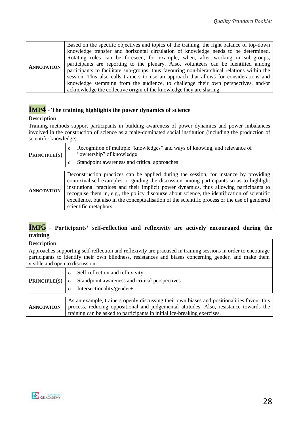# **IMP4 - The training highlights the power dynamics of science**

#### **Description**:

Training methods support participants in building awareness of power dynamics and power imbalances involved in the construction of science as a male-dominated social institution (including the production of scientific knowledge).

| <b>PRINCIPLE(S)</b> | Recognition of multiple "knowledges" and ways of knowing, and relevance of<br>"ownership" of knowledge |
|---------------------|--------------------------------------------------------------------------------------------------------|
|                     | Standpoint awareness and critical approaches                                                           |
|                     |                                                                                                        |
|                     |                                                                                                        |

| <b>ANNOTATION</b> | Deconstruction practices can be applied during the session, for instance by providing          |
|-------------------|------------------------------------------------------------------------------------------------|
|                   | contextualised examples or guiding the discussion among participants so as to highlight        |
|                   | institutional practices and their implicit power dynamics, thus allowing participants to       |
|                   | recognise them in, e.g., the policy discourse about science, the identification of scientific  |
|                   | excellence, but also in the conceptualisation of the scientific process or the use of gendered |
|                   | scientific metaphors.                                                                          |

# **IMP5 - Participants' self-reflection and reflexivity are actively encouraged during the training**

**Description**:

Approaches supporting self-reflection and reflexivity are practised in training sessions in order to encourage participants to identify their own blindness, resistances and biases concerning gender, and make them visible and open to discussion.

|                     | Self-reflection and reflexivity                                                                                                                                                                                                                                  |
|---------------------|------------------------------------------------------------------------------------------------------------------------------------------------------------------------------------------------------------------------------------------------------------------|
| <b>PRINCIPLE(S)</b> | Standpoint awareness and critical perspectives                                                                                                                                                                                                                   |
|                     | Intersectionality/gender+<br>$\Omega$                                                                                                                                                                                                                            |
|                     |                                                                                                                                                                                                                                                                  |
| <b>ANNOTATION</b>   | As an example, trainers openly discussing their own biases and positionalities favour this<br>process, reducing oppositional and judgemental attitudes. Also, resistance towards the<br>training can be asked to participants in initial ice-breaking exercises. |

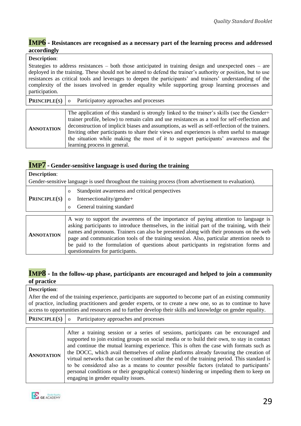#### **IMP6 - Resistances are recognised as a necessary part of the learning process and addressed accordingly**

#### **Description**:

Strategies to address resistances – both those anticipated in training design and unexpected ones – are deployed in the training. These should not be aimed to defend the trainer's authority or position, but to use resistances as critical tools and leverages to deepen the participants' and trainers' understanding of the complexity of the issues involved in gender equality while supporting group learning processes and participation.

|                   | <b>PRINCIPLE(S)</b> $\vert$ o Participatory approaches and processes                                                                                                                                                                                                                                                                                                                                                                                                                                                 |
|-------------------|----------------------------------------------------------------------------------------------------------------------------------------------------------------------------------------------------------------------------------------------------------------------------------------------------------------------------------------------------------------------------------------------------------------------------------------------------------------------------------------------------------------------|
| <b>ANNOTATION</b> | The application of this standard is strongly linked to the trainer's skills (see the Gender+<br>trainer profile, below) to remain calm and use resistances as a tool for self-reflection and<br>deconstruction of implicit biases and assumptions, as well as self-reflection of the trainers.<br>Inviting other participants to share their views and experiences is often useful to manage<br>the situation while making the most of it to support participants' awareness and the<br>learning process in general. |

# **IMP7 - Gender-sensitive language is used during the training**

| <b>Description:</b> |                                                                                                                                                                                                                                                                                                                                                                                                                                                                                                         |
|---------------------|---------------------------------------------------------------------------------------------------------------------------------------------------------------------------------------------------------------------------------------------------------------------------------------------------------------------------------------------------------------------------------------------------------------------------------------------------------------------------------------------------------|
|                     | Gender-sensitive language is used throughout the training process (from advertisement to evaluation).                                                                                                                                                                                                                                                                                                                                                                                                   |
|                     | Standpoint awareness and critical perspectives<br>$\Omega$                                                                                                                                                                                                                                                                                                                                                                                                                                              |
| <b>PRINCIPLE(S)</b> | Intersectionality/gender+<br>$\mathbf{O}$<br>General training standard                                                                                                                                                                                                                                                                                                                                                                                                                                  |
|                     |                                                                                                                                                                                                                                                                                                                                                                                                                                                                                                         |
| <b>ANNOTATION</b>   | A way to support the awareness of the importance of paying attention to language is<br>asking participants to introduce themselves, in the initial part of the training, with their<br>names and pronouns. Trainers can also be presented along with their pronouns on the web<br>page and communication tools of the training session. Also, particular attention needs to<br>be paid to the formulation of questions about participants in registration forms and<br>questionnaires for participants. |

### **IMP8 - In the follow-up phase, participants are encouraged and helped to join a community of practice**

#### **Description**: After the end of the training experience, participants are supported to become part of an existing community of practice, including practitioners and gender experts, or to create a new one, so as to continue to have access to opportunities and resources and to further develop their skills and knowledge on gender equality. **PRINCIPLE**(**S**) o Participatory approaches and processes **ANNOTATION** After a training session or a series of sessions, participants can be encouraged and supported to join existing groups on social media or to build their own, to stay in contact and continue the mutual learning experience. This is often the case with formats such as the DOCC, which avail themselves of online platforms already favouring the creation of virtual networks that can be continued after the end of the training period. This standard is to be considered also as a means to counter possible factors (related to participants' personal conditions or their geographical context) hindering or impeding them to keep on engaging in gender equality issues.

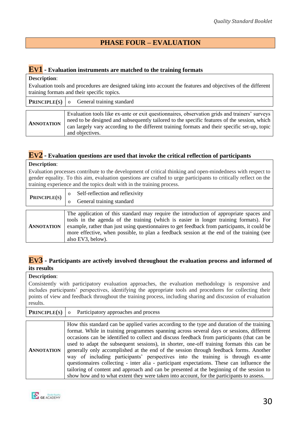# **PHASE FOUR – EVALUATION**

# <span id="page-29-0"></span>**EV1 - Evaluation instruments are matched to the training formats**

| <b>Description:</b>                                                                                                                                          |                                                                                                                                                                                                                                                                                                                   |  |
|--------------------------------------------------------------------------------------------------------------------------------------------------------------|-------------------------------------------------------------------------------------------------------------------------------------------------------------------------------------------------------------------------------------------------------------------------------------------------------------------|--|
| Evaluation tools and procedures are designed taking into account the features and objectives of the different<br>training formats and their specific topics. |                                                                                                                                                                                                                                                                                                                   |  |
| <b>PRINCIPLE(S)</b>                                                                                                                                          | General training standard<br>$\Omega$                                                                                                                                                                                                                                                                             |  |
|                                                                                                                                                              |                                                                                                                                                                                                                                                                                                                   |  |
| <b>ANNOTATION</b>                                                                                                                                            | Evaluation tools like ex-ante or exit questionnaires, observation grids and trainers' surveys<br>need to be designed and subsequently tailored to the specific features of the session, which<br>can largely vary according to the different training formats and their specific set-up, topic<br>and objectives. |  |

# **EV2 - Evaluation questions are used that invoke the critical reflection of participants**

#### **Description**:

Evaluation processes contribute to the development of critical thinking and open-mindedness with respect to gender equality. To this aim, evaluation questions are crafted to urge participants to critically reflect on the training experience and the topics dealt with in the training process.

| <b>PRINCIPLE(S)</b> | Self-reflection and reflexivity<br>General training standard                                                                                                                                                                                                                                                                                                                                        |
|---------------------|-----------------------------------------------------------------------------------------------------------------------------------------------------------------------------------------------------------------------------------------------------------------------------------------------------------------------------------------------------------------------------------------------------|
| <b>ANNOTATION</b>   | The application of this standard may require the introduction of appropriate spaces and<br>tools in the agenda of the training (which is easier in longer training formats). For<br>example, rather than just using questionnaires to get feedback from participants, it could be<br>more effective, when possible, to plan a feedback session at the end of the training (see<br>also EV3, below). |

### **EV3 - Participants are actively involved throughout the evaluation process and informed of its results**

**Description**: Consistently with participatory evaluation approaches, the evaluation methodology is responsive and includes participants' perspectives, identifying the appropriate tools and procedures for collecting their points of view and feedback throughout the training process, including sharing and discussion of evaluation results.

| <b>PRINCIPLE(S)</b> | o Participatory approaches and process                                                                                                                                                                                                                                                                                                                                                                                                                                                                                                                                                                                                                                                                                                                                                                                                                |
|---------------------|-------------------------------------------------------------------------------------------------------------------------------------------------------------------------------------------------------------------------------------------------------------------------------------------------------------------------------------------------------------------------------------------------------------------------------------------------------------------------------------------------------------------------------------------------------------------------------------------------------------------------------------------------------------------------------------------------------------------------------------------------------------------------------------------------------------------------------------------------------|
|                     |                                                                                                                                                                                                                                                                                                                                                                                                                                                                                                                                                                                                                                                                                                                                                                                                                                                       |
| <b>ANNOTATION</b>   | How this standard can be applied varies according to the type and duration of the training<br>format. While in training programmes spanning across several days or sessions, different<br>occasions can be identified to collect and discuss feedback from participants (that can be<br>used to adapt the subsequent sessions), in shorter, one-off training formats this can be<br>generally only accomplished at the end of the session through feedback forms. Another<br>way of including participants' perspectives into the training is through ex-ante<br>questionnaires collecting - inter alia - participant expectations. These can influence the<br>tailoring of content and approach and can be presented at the beginning of the session to<br>show how and to what extent they were taken into account, for the participants to assess. |

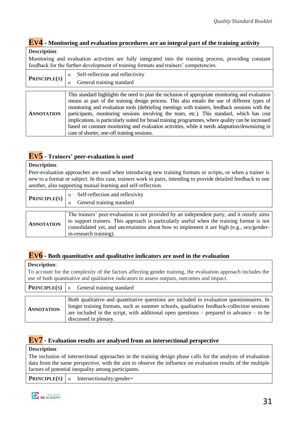# **EV4 - Monitoring and evaluation procedures are an integral part of the training activity**

#### **Description**:

Monitoring and evaluation activities are fully integrated into the training process, providing constant feedback for the further development of training formats and trainers' competencies.

| PRINCIPLE(S)      | Self-reflection and reflectivity<br>$\Omega$<br>General training standard<br>Ω                                                                                                                                                                                                                                                                                                                                                                                                                                                                                                                                                                            |
|-------------------|-----------------------------------------------------------------------------------------------------------------------------------------------------------------------------------------------------------------------------------------------------------------------------------------------------------------------------------------------------------------------------------------------------------------------------------------------------------------------------------------------------------------------------------------------------------------------------------------------------------------------------------------------------------|
| <b>ANNOTATION</b> | This standard highlights the need to plan the inclusion of appropriate monitoring and evaluation<br>means as part of the training design process. This also entails the use of different types of<br>monitoring and evaluation tools (debriefing meetings with trainers, feedback sessions with the<br>participants, monitoring sessions involving the team, etc.). This standard, which has cost<br>implications, is particularly suited for broad training programmes, where quality can be increased<br>based on constant monitoring and evaluation activities, while it needs adaptation/downsizing in<br>case of shorter, one-off training sessions. |

# **EV5 - Trainers' peer-evaluation is used**

#### **Description**:

Peer-evaluation approaches are used when introducing new training formats or scripts, or when a trainer is new to a format or subject. In this case, trainers work in pairs, intending to provide detailed feedback to one another, also supporting mutual learning and self-reflection.

| <b>PRINCIPLE(S)</b> | Self-reflection and reflexivity<br>General training standard                                                                                                                                                                                                                                                  |
|---------------------|---------------------------------------------------------------------------------------------------------------------------------------------------------------------------------------------------------------------------------------------------------------------------------------------------------------|
|                     |                                                                                                                                                                                                                                                                                                               |
| <b>ANNOTATION</b>   | The trainers' peer-evaluation is not provided by an independent party, and it mostly aims<br>to support trainers. This approach is particularly useful when the training format is not<br>consolidated yet, and uncertainties about how to implement it are high (e.g., sex/gender-<br>in-research training). |

# **EV6 - Both quantitative and qualitative indicators are used in the evaluation**

| $\sim$ cost is the cost.<br>To account for the complexity of the factors affecting gender training, the evaluation approach includes the<br>use of both quantitative and qualitative indicators to assess outputs, outcomes and impact. |                                                                                                                                                                                                                                                                                                             |  |
|-----------------------------------------------------------------------------------------------------------------------------------------------------------------------------------------------------------------------------------------|-------------------------------------------------------------------------------------------------------------------------------------------------------------------------------------------------------------------------------------------------------------------------------------------------------------|--|
| <b>PRINCIPLE(S)</b>                                                                                                                                                                                                                     | General training standard<br>$\mathbf{o}$                                                                                                                                                                                                                                                                   |  |
| <b>ANNOTATION</b>                                                                                                                                                                                                                       | Both qualitative and quantitative questions are included in evaluation questionnaires. In<br>longer training formats, such as summer schools, qualitative feedback-collection sessions<br>are included in the script, with additional open questions – prepared in advance – to be<br>discussed in plenary. |  |

### **EV7 - Evaluation results are analysed from an intersectional perspective**

#### **Description**:

**Description**:

The inclusion of intersectional approaches in the training design phase calls for the analysis of evaluation data from the same perspective, with the aim to observe the influence on evaluation results of the multiple factors of potential inequality among participants.

|  | <b>PRINCIPLE(S)</b> o Intersectionality/gender+ |
|--|-------------------------------------------------|
|  |                                                 |

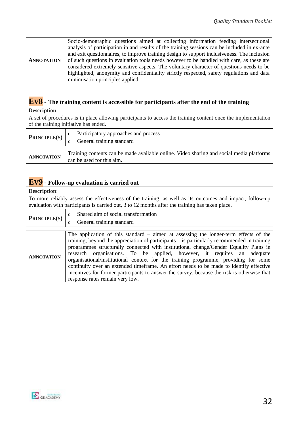|                   | Socio-demographic questions aimed at collecting information feeding intersectional           |
|-------------------|----------------------------------------------------------------------------------------------|
|                   | analysis of participation in and results of the training sessions can be included in ex-ante |
|                   | and exit questionnaires, to improve training design to support inclusiveness. The inclusion  |
| <b>ANNOTATION</b> | of such questions in evaluation tools needs however to be handled with care, as these are    |
|                   | considered extremely sensitive aspects. The voluntary character of questions needs to be     |
|                   | highlighted, anonymity and confidentiality strictly respected, safety regulations and data   |
|                   | minimisation principles applied.                                                             |

# **EV8 - The training content is accessible for participants after the end of the training**

#### **Description**:

A set of procedures is in place allowing participants to access the training content once the implementation of the training initiative has ended.

| <b>PRINCIPLE(S)</b> | Participatory approaches and process<br>General training standard                                                     |
|---------------------|-----------------------------------------------------------------------------------------------------------------------|
| <b>ANNOTATION</b>   | Training contents can be made available online. Video sharing and social media platforms<br>can be used for this aim. |

# **EV9 - Follow-up evaluation is carried out**

#### **Description**:

To more reliably assess the effectiveness of the training, as well as its outcomes and impact, follow-up evaluation with participants is carried out, 3 to 12 months after the training has taken place.

| PRINCIPLE(S) | Shared aim of social transformation                                                  |
|--------------|--------------------------------------------------------------------------------------|
|              | General training standard                                                            |
|              |                                                                                      |
|              | The application of this standard – aimed at assessing the longer-term effects of the |

|                   | The application of this standard $=$ annea at assessing the foliger-term effects of the       |  |  |  |  |
|-------------------|-----------------------------------------------------------------------------------------------|--|--|--|--|
| <b>ANNOTATION</b> | training, beyond the appreciation of participants $-$ is particularly recommended in training |  |  |  |  |
|                   | programmes structurally connected with institutional change/Gender Equality Plans in          |  |  |  |  |
|                   | research organisations. To be applied, however, it requires an adequate                       |  |  |  |  |
|                   | organisational/institutional context for the training programme, providing for some           |  |  |  |  |
|                   | continuity over an extended timeframe. An effort needs to be made to identify effective       |  |  |  |  |
|                   | incentives for former participants to answer the survey, because the risk is otherwise that   |  |  |  |  |
|                   | response rates remain very low.                                                               |  |  |  |  |

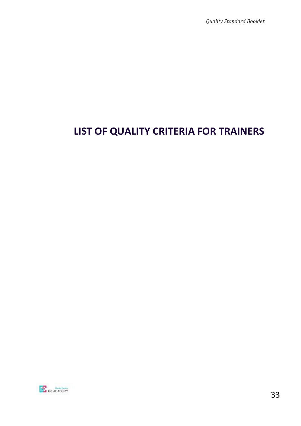*Quality Standard Booklet* 

# <span id="page-32-0"></span>**LIST OF QUALITY CRITERIA FOR TRAINERS**

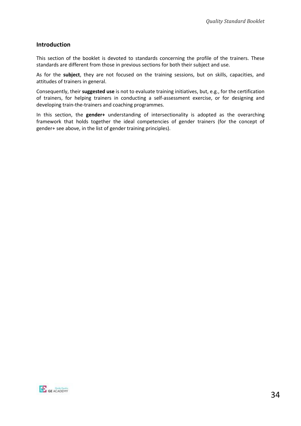#### **Introduction**

This section of the booklet is devoted to standards concerning the profile of the trainers. These standards are different from those in previous sections for both their subject and use.

As for the **subject**, they are not focused on the training sessions, but on skills, capacities, and attitudes of trainers in general.

Consequently, their **suggested use** is not to evaluate training initiatives, but, e.g., for the certification of trainers, for helping trainers in conducting a self-assessment exercise, or for designing and developing train-the-trainers and coaching programmes.

In this section, the **gender+** understanding of intersectionality is adopted as the overarching framework that holds together the ideal competencies of gender trainers (for the concept of gender+ see above, in the list of gender training principles).

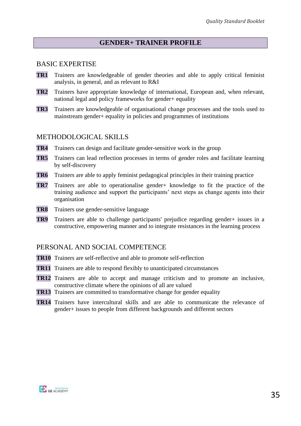# **GENDER+ TRAINER PROFILE**

#### BASIC EXPERTISE

- **TR1** Trainers are knowledgeable of gender theories and able to apply critical feminist analysis, in general, and as relevant to R&I
- **TR2** Trainers have appropriate knowledge of international, European and, when relevant, national legal and policy frameworks for gender+ equality
- **TR3** Trainers are knowledgeable of organisational change processes and the tools used to mainstream gender+ equality in policies and programmes of institutions

### METHODOLOGICAL SKILLS

- **TR4** Trainers can design and facilitate gender-sensitive work in the group
- **TR5** Trainers can lead reflection processes in terms of gender roles and facilitate learning by self-discovery
- **TR6** Trainers are able to apply feminist pedagogical principles in their training practice
- **TR7** Trainers are able to operationalise gender+ knowledge to fit the practice of the training audience and support the participants' next steps as change agents into their organisation
- **TR8** Trainers use gender-sensitive language
- **TR9** Trainers are able to challenge participants' prejudice regarding gender+ issues in a constructive, empowering manner and to integrate resistances in the learning process

### PERSONAL AND SOCIAL COMPETENCE

- **TR10** Trainers are self-reflective and able to promote self-reflection
- **TR11** Trainers are able to respond flexibly to unanticipated circumstances
- **TR12** Trainers are able to accept and manage criticism and to promote an inclusive, constructive climate where the opinions of all are valued
- **TR13** Trainers are committed to transformative change for gender equality
- **TR14** Trainers have intercultural skills and are able to communicate the relevance of gender+ issues to people from different backgrounds and different sectors

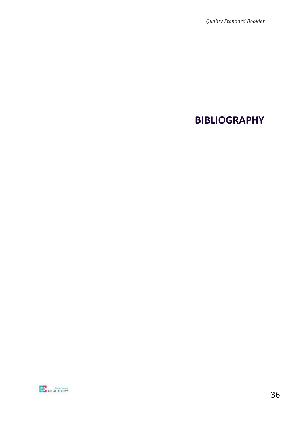# <span id="page-35-0"></span>**BIBLIOGRAPHY**

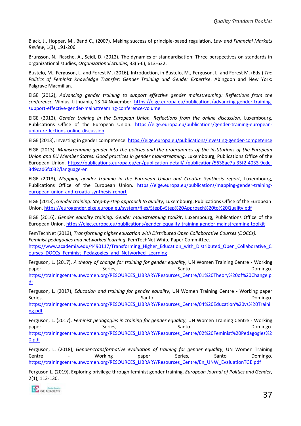Black, J., Hopper, M., Band C., (2007), Making success of principle-based regulation, *Law and Financial Markets Review*, 1(3), 191-206.

Brunsson, N., Rasche, A., Seidl, D. (2012), The dynamics of standardisation: Three perspectives on standards in organizational studies, *Organizational Studies*, 33(5-6), 613-632.

Bustelo, M., Ferguson, L. and Forest M. (2016), Introduction, in Bustelo, M., Ferguson, L. and Forest M. (Eds.) *The Politics of Feminist Knowledge Transfer: Gender Training and Gender Expertise*. Abingdon and New York: Palgrave Macmillan.

EIGE (2012), *Advancing gender training to support effective gender mainstreaming: Reflections from the conference*, Vilnius, Lithuania, 13-14 November. [https://eige.europa.eu/publications/advancing-gender-training](https://eige.europa.eu/publications/advancing-gender-training-support-effective-gender-mainstreaming-conference-volume)[support-effective-gender-mainstreaming-conference-volume](https://eige.europa.eu/publications/advancing-gender-training-support-effective-gender-mainstreaming-conference-volume)

EIGE (2012), *Gender training in the European Union. Reflections from the online discussion*, Luxembourg, Publications Office of the European Union. [https://eige.europa.eu/publications/gender-training-european](https://eige.europa.eu/publications/gender-training-european-union-reflections-online-discussion)[union-reflections-online-discussion](https://eige.europa.eu/publications/gender-training-european-union-reflections-online-discussion)

EIGE (2013), Investing in gender competence.<https://eige.europa.eu/publications/investing-gender-competence>

EIGE (2013), *Mainstreaming gender into the policies and the programmes of the institutions of the European Union and EU Member States: Good practices in gender mainstreaming*, Luxembourg, Publications Office of the European Union. [https://publications.europa.eu/en/publication-detail/-/publication/5638ae7a-35f2-4033-9cde-](https://publications.europa.eu/en/publication-detail/-/publication/5638ae7a-35f2-4033-9cde-3d9cad6fc032/language-en)[3d9cad6fc032/language-en](https://publications.europa.eu/en/publication-detail/-/publication/5638ae7a-35f2-4033-9cde-3d9cad6fc032/language-en)

EIGE (2013), *Mapping gender training in the European Union and Croatia: Synthesis report*, Luxembourg, Publications Office of the European Union. [https://eige.europa.eu/publications/mapping-gender-training](https://eige.europa.eu/publications/mapping-gender-training-european-union-and-croatia-synthesis-report)[european-union-and-croatia-synthesis-report](https://eige.europa.eu/publications/mapping-gender-training-european-union-and-croatia-synthesis-report)

EIGE (2013), *Gender training: Step-by-step approach to quality*, Luxembourg, Publications Office of the European Union[. https://eurogender.eige.europa.eu/system/files/StepByStep%20Approach%20to%20Quality.pdf](https://eurogender.eige.europa.eu/system/files/StepByStep%20Approach%20to%20Quality.pdf)

EIGE (2016), *Gender equality training, Gender mainstreaming toolkit*, Luxembourg, Publications Office of the European Union.<https://eige.europa.eu/publications/gender-equality-training-gender-mainstreaming-toolkit>

FemTechNet (2013), *Transforming higher education with Distributed Open Collaborative Courses (DOCCs). Feminist pedagogies and networked learning*, FemTechNet White Paper Committee. [https://www.academia.edu/4490117/Transforming\\_Higher\\_Education\\_with\\_Distributed\\_Open\\_Collaborative\\_C](https://www.academia.edu/4490117/Transforming_Higher_Education_with_Distributed_Open_Collaborative_Courses_DOCCs_Feminist_Pedagogies_and_Networked_Learning) [ourses\\_DOCCs\\_Feminist\\_Pedagogies\\_and\\_Networked\\_Learning](https://www.academia.edu/4490117/Transforming_Higher_Education_with_Distributed_Open_Collaborative_Courses_DOCCs_Feminist_Pedagogies_and_Networked_Learning)

Ferguson, L. (2017), *A theory of change for training for gender equality*, UN Women Training Centre - Working paper Series, Series, Santo Santo Domingo. [https://trainingcentre.unwomen.org/RESOURCES\\_LIBRARY/Resources\\_Centre/01%20Theory%20of%20Change.p](https://trainingcentre.unwomen.org/RESOURCES_LIBRARY/Resources_Centre/01%20Theory%20of%20Change.pdf) [df](https://trainingcentre.unwomen.org/RESOURCES_LIBRARY/Resources_Centre/01%20Theory%20of%20Change.pdf)

Ferguson, L. (2017), *Education and training for gender equality*, UN Women Training Centre - Working paper Series, Series, Santo Communications of the State of State Communications of the State Communications of the State Oriental Communications of the State Oriental Communications of the State Oriental Communications of the St [https://trainingcentre.unwomen.org/RESOURCES\\_LIBRARY/Resources\\_Centre/04%20Education%20vs%20Traini](https://trainingcentre.unwomen.org/RESOURCES_LIBRARY/Resources_Centre/04%20Education%20vs%20Training.pdf)

Ferguson, L. (2017), *Feminist pedagogies in training for gender equality*, UN Women Training Centre - Working paper **Series**, Series, Santo Santo Domingo. [https://trainingcentre.unwomen.org/RESOURCES\\_LIBRARY/Resources\\_Centre/02%20Feminist%20Pedagogies%2](https://trainingcentre.unwomen.org/RESOURCES_LIBRARY/Resources_Centre/02%20Feminist%20Pedagogies%20.pdf) [0.pdf](https://trainingcentre.unwomen.org/RESOURCES_LIBRARY/Resources_Centre/02%20Feminist%20Pedagogies%20.pdf)

Ferguson, L. (2018), *Gender-transformative evaluation of training for gender equality*, UN Women Training Centre 1992 - Centre Working paper Series, Santo Domingo. [https://trainingcentre.unwomen.org/RESOURCES\\_LIBRARY/Resources\\_Centre/En\\_UNW\\_EvaluationTGE.pdf](https://trainingcentre.unwomen.org/RESOURCES_LIBRARY/Resources_Centre/En_UNW_EvaluationTGE.pdf)

Ferguson L. (2019), Exploring privilege through feminist gender training, *European Journal of Politics and Gender*, 2(1), 113-130.



[ng.pdf](https://trainingcentre.unwomen.org/RESOURCES_LIBRARY/Resources_Centre/04%20Education%20vs%20Training.pdf)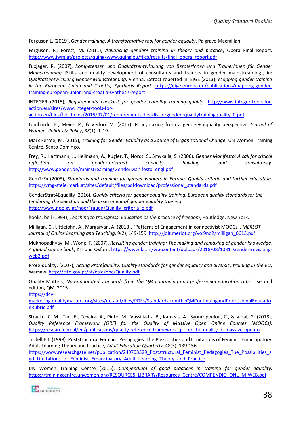Ferguson L. (2019), *Gender training. A transformative tool for gender equality*, Palgrave Macmillan.

Ferguson, F., Forest, M. (2011), *Advancing gender+ training in theory and practice*, Opera Final Report. [http://www.iwm.at/projects/quing/www.quing.eu/files/results/final\\_opera\\_report.pdf](http://www.iwm.at/projects/quing/www.quing.eu/files/results/final_opera_report.pdf)

Fuxjager, R. (2007), *Kompetenzen und Qualitätsentwicklung von BeraterInnen und TrainerInnen für Gender Mainstreaming* [Skills and quality development of consultants and trainers in gender mainstreaming]*,* in: *Qualitätsentwicklung Gender Mainstreaming,* Vienna. Extract reported in: EIGE (2013), *Mapping gender training in the European Union and Croatia, Synthesis Report*. [https://eige.europa.eu/publications/mapping-gender](https://eige.europa.eu/publications/mapping-gender-training-european-union-and-croatia-synthesis-report)[training-european-union-and-croatia-synthesis-report](https://eige.europa.eu/publications/mapping-gender-training-european-union-and-croatia-synthesis-report)

INTEGER (2015), *Requirements checklist for gender equality training quality.* [http://www.integer-tools-for](http://www.integer-tools-for-action.eu/sites/www.integer-tools-for-action.eu/files/file_fields/2015/07/01/requirementschecklistforgenderequalitytrainingquality_0.pdf)[action.eu/sites/www.integer-tools-for-](http://www.integer-tools-for-action.eu/sites/www.integer-tools-for-action.eu/files/file_fields/2015/07/01/requirementschecklistforgenderequalitytrainingquality_0.pdf)

[action.eu/files/file\\_fields/2015/07/01/requirementschecklistforgenderequalitytrainingquality\\_0.pdf](http://www.integer-tools-for-action.eu/sites/www.integer-tools-for-action.eu/files/file_fields/2015/07/01/requirementschecklistforgenderequalitytrainingquality_0.pdf)

Lombardo, E., Meier, P., & Verloo, M. (2017). Policymaking from a gender+ equality perspective. *Journal of Women, Politics & Policy*, *38*(1), 1-19.

Marx Ferree, M. (2015), *Training for Gender Equality as a Source of Organisational Change*, UN Women Training Centre, Santo Domingo.

Frey, R., Hartmann, J., Heilmann, A., Kugler, T., Nordt, S., Smykalla, S. (2006), *Gender Manifesto: A call for critical reflection on gender-oriented capacity building and consultancy*. [http://www.gender.de/mainstreaming/GenderManifesto\\_engl.pdf](http://www.gender.de/mainstreaming/GenderManifesto_engl.pdf)

GemTrEx (2008), *Standards and training for gender workers in Europe. Quality criteria and further education*. [https://vmg-steiermark.at/sites/default/files/pdfdownload/professional\\_standards.pdf](https://vmg-steiermark.at/sites/default/files/pdfdownload/professional_standards.pdf)

GenderStrat4Equality (2016), *Quality criteria for gender equality training, European quality standards for the tendering, the selection and the assessment of gender equality training*. [http://www.noe.gv.at/noe/Frauen/Quality\\_criteria\\_e.pdf](http://www.noe.gv.at/noe/Frauen/Quality_criteria_e.pdf)

hooks, bell (1994), *Teaching to transgress: Education as the practice of freedom*, Routledge, New York.

Milligan, C., Littlejohn, A., Margaryan, A. (2013), "Patterns of Engagement in connectivist MOOCs", *MERLOT Journal of Online Learning and Teaching*, 9(2), 149-159[. http://jolt.merlot.org/vol9no2/milligan\\_0613.pdf](http://jolt.merlot.org/vol9no2/milligan_0613.pdf)

Mukhopadhyay, M., Wong, F. (2007), *Revisiting gender training: The making and remaking of gender knowledge. A global source book*, KIT and Oxfam. [https://www.kit.nl/wp-content/uploads/2018/08/1031\\_Gender-revisiting](https://www.kit.nl/wp-content/uploads/2018/08/1031_Gender-revisiting-web2.pdf)[web2.pdf](https://www.kit.nl/wp-content/uploads/2018/08/1031_Gender-revisiting-web2.pdf)

Pro(e)quality, (2007), *Acting Pro(e)quality. Quality standards for gender equality and diversity training in the EU*, Warsaw[. http://cite.gov.pt/pt/dsie/doc/Quality.pdf](http://cite.gov.pt/pt/dsie/doc/Quality.pdf)

Quality Matters, *Non-annotated standards from the QM continuing and professional education rubric*, second edition, QM, 2015.

[https://dev-](https://dev-marketing.qualitymatters.org/sites/default/files/PDFs/StandardsfromtheQMContinuingandProfessionalEducationRubric.pdf)

[marketing.qualitymatters.org/sites/default/files/PDFs/StandardsfromtheQMContinuingandProfessionalEducatio](https://dev-marketing.qualitymatters.org/sites/default/files/PDFs/StandardsfromtheQMContinuingandProfessionalEducationRubric.pdf) [nRubric.pdf](https://dev-marketing.qualitymatters.org/sites/default/files/PDFs/StandardsfromtheQMContinuingandProfessionalEducationRubric.pdf)

Stracke, C. M., Tan, E., Texeira, A., Pinto, M., Vassiliadis, B., Kameas, A., Sgouropoulou, C., & Vidal, G. (2018), *Quality Reference Framework (QRF) for the Quality of Massive Open Online Courses (MOOCs)*. <https://research.ou.nl/en/publications/quality-reference-framework-qrf-for-the-quality-of-massive-open-o>

Tisdell E.J. (1998), Poststructural Feminist Pedagogies: The Possibilities and Limitations of Feminist Emancipatory Adult Learning Theory and Practice, *Adult Education Quarterly*, 48(3), 139-156.

[https://www.researchgate.net/publication/240703329\\_Poststructural\\_Feminist\\_Pedagogies\\_The\\_Possibilities\\_a](https://www.researchgate.net/publication/240703329_Poststructural_Feminist_Pedagogies_The_Possibilities_and_Limitations_of_Feminist_Emancipatory_Adult_Learning_Theory_and_Practice) nd Limitations of Feminist Emancipatory Adult Learning Theory and Practice

UN Women Training Centre (2016), *Compendium of good practices in training for gender equality*. [https://trainingcentre.unwomen.org/RESOURCES\\_LIBRARY/Resources\\_Centre/COMPENDIO\\_ONU-M-WEB.pdf](https://trainingcentre.unwomen.org/RESOURCES_LIBRARY/Resources_Centre/COMPENDIO_ONU-M-WEB.pdf)